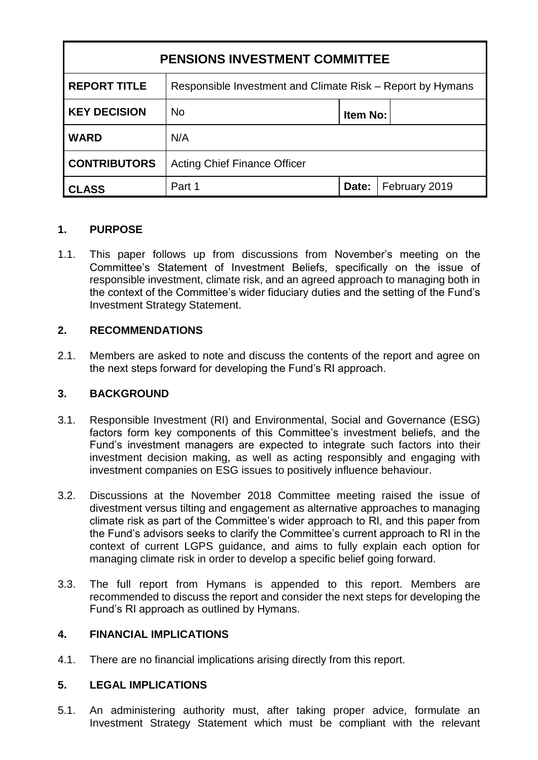| <b>PENSIONS INVESTMENT COMMITTEE</b> |                                                            |          |               |
|--------------------------------------|------------------------------------------------------------|----------|---------------|
| <b>REPORT TITLE</b>                  | Responsible Investment and Climate Risk – Report by Hymans |          |               |
| <b>KEY DECISION</b>                  | <b>No</b>                                                  | Item No: |               |
| <b>WARD</b>                          | N/A                                                        |          |               |
| <b>CONTRIBUTORS</b>                  | <b>Acting Chief Finance Officer</b>                        |          |               |
| <b>CLASS</b>                         | Part 1                                                     | Date:    | February 2019 |

## **1. PURPOSE**

1.1. This paper follows up from discussions from November's meeting on the Committee's Statement of Investment Beliefs, specifically on the issue of responsible investment, climate risk, and an agreed approach to managing both in the context of the Committee's wider fiduciary duties and the setting of the Fund's Investment Strategy Statement.

## **2. RECOMMENDATIONS**

2.1. Members are asked to note and discuss the contents of the report and agree on the next steps forward for developing the Fund's RI approach.

## **3. BACKGROUND**

- 3.1. Responsible Investment (RI) and Environmental, Social and Governance (ESG) factors form key components of this Committee's investment beliefs, and the Fund's investment managers are expected to integrate such factors into their investment decision making, as well as acting responsibly and engaging with investment companies on ESG issues to positively influence behaviour.
- 3.2. Discussions at the November 2018 Committee meeting raised the issue of divestment versus tilting and engagement as alternative approaches to managing climate risk as part of the Committee's wider approach to RI, and this paper from the Fund's advisors seeks to clarify the Committee's current approach to RI in the context of current LGPS guidance, and aims to fully explain each option for managing climate risk in order to develop a specific belief going forward.
- 3.3. The full report from Hymans is appended to this report. Members are recommended to discuss the report and consider the next steps for developing the Fund's RI approach as outlined by Hymans.

## **4. FINANCIAL IMPLICATIONS**

4.1. There are no financial implications arising directly from this report.

## **5. LEGAL IMPLICATIONS**

5.1. An administering authority must, after taking proper advice, formulate an Investment Strategy Statement which must be compliant with the relevant